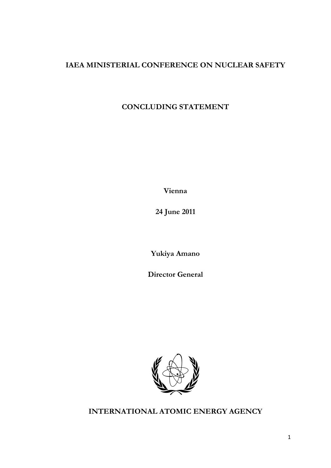## **IAEA MINISTERIAL CONFERENCE ON NUCLEAR SAFETY**

## **CONCLUDING STATEMENT**

**Vienna** 

**24 June 2011** 

**Yukiya Amano** 

**Director General** 



**INTERNATIONAL ATOMIC ENERGY AGENCY**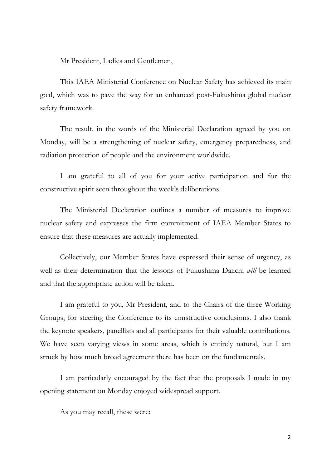Mr President, Ladies and Gentlemen,

This IAEA Ministerial Conference on Nuclear Safety has achieved its main goal, which was to pave the way for an enhanced post-Fukushima global nuclear safety framework.

The result, in the words of the Ministerial Declaration agreed by you on Monday, will be a strengthening of nuclear safety, emergency preparedness, and radiation protection of people and the environment worldwide.

I am grateful to all of you for your active participation and for the constructive spirit seen throughout the week's deliberations.

The Ministerial Declaration outlines a number of measures to improve nuclear safety and expresses the firm commitment of IAEA Member States to ensure that these measures are actually implemented.

Collectively, our Member States have expressed their sense of urgency, as well as their determination that the lessons of Fukushima Daiichi *will* be learned and that the appropriate action will be taken.

I am grateful to you, Mr President, and to the Chairs of the three Working Groups, for steering the Conference to its constructive conclusions. I also thank the keynote speakers, panellists and all participants for their valuable contributions. We have seen varying views in some areas, which is entirely natural, but I am struck by how much broad agreement there has been on the fundamentals.

I am particularly encouraged by the fact that the proposals I made in my opening statement on Monday enjoyed widespread support.

As you may recall, these were: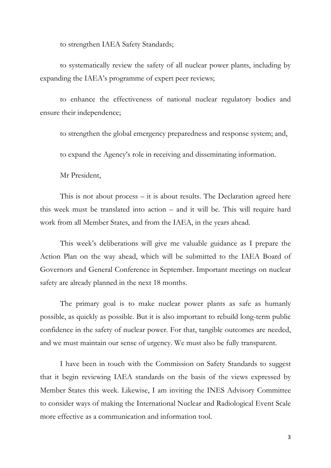to strengthen IAEA Safety Standards;

to systematically review the safety of all nuclear power plants, including by expanding the IAEA's programme of expert peer reviews;

to enhance the effectiveness of national nuclear regulatory bodies and ensure their independence;

to strengthen the global emergency preparedness and response system; and,

to expand the Agency's role in receiving and disseminating information.

Mr President,

This is not about process – it is about results. The Declaration agreed here this week must be translated into action – and it will be. This will require hard work from all Member States, and from the IAEA, in the years ahead.

This week's deliberations will give me valuable guidance as I prepare the Action Plan on the way ahead, which will be submitted to the IAEA Board of Governors and General Conference in September. Important meetings on nuclear safety are already planned in the next 18 months.

The primary goal is to make nuclear power plants as safe as humanly possible, as quickly as possible. But it is also important to rebuild long-term public confidence in the safety of nuclear power. For that, tangible outcomes are needed, and we must maintain our sense of urgency. We must also be fully transparent.

I have been in touch with the Commission on Safety Standards to suggest that it begin reviewing IAEA standards on the basis of the views expressed by Member States this week. Likewise, I am inviting the INES Advisory Committee to consider ways of making the International Nuclear and Radiological Event Scale more effective as a communication and information tool.